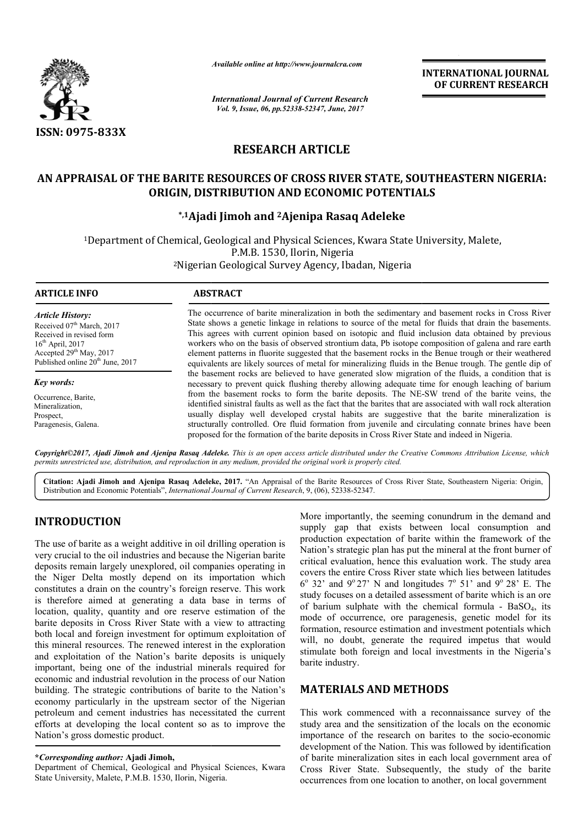

*Available online at http://www.journalcra.com*

*International Journal of Current Research Vol. 9, Issue, 06, pp.52338-52347, June, 2017*

**INTERNATIONAL JOURNAL OF CURRENT RESEARCH** 

# **RESEARCH ARTICLE**

# **AN APPRAISAL OF THE BARITE RESOURCES OF CROSS RIVER STATE, SOUTHEASTERN NIGERIA: ORIGIN, DISTRIBUTION AND ECONOMIC POTENTIALS**

# **\*,1Ajadi Jimoh and Ajadi 2Ajenipa Rasaq Adeleke**

1Department of Chemical, Geological and Physical Sciences, Kwara State University, Malete, Department P.M.B. 1530, Ilorin, Nigeria University, 2Nigerian Geological Survey Agency, Ibadan, Nigeria Nigerian

## **ARTICLE INFO ABSTRACT**

*Article History:* Received 07<sup>th</sup> March, 2017 Received in revised form  $16<sup>th</sup>$  April, 2017 Accepted 29<sup>th</sup> May, 2017 Published online  $20<sup>th</sup>$  June, 2017

*Key words:* Occurrence, Barite, Mineralization,

Prospect, Paragenesis, Galena.

The occurrence of barite mineralization in both the sedimentary and basement rocks in Cross River State shows a genetic linkage in relations to source of the metal for fluids that drain the basements. This agrees with current opinion based on isotopic and fluid inclusion data obtained by previous workers who on the basis of observed strontium data, Pb isotope composition of galena and rare earth element patterns in fluorite suggested that the basement rocks in the Benue trough or their weathered equivalents are likely sources of metal for mineralizing fluids in the Benue trough. The gentle dip of the basement rocks are believed to have generated slow migration of the fluids, a condition that is workers who on the basis of observed strontium data, Pb isotope composition of galena and rare earth<br>element patterns in fluorite suggested that the basement rocks in the Benue trough or their weathered<br>equivalents are lik from the basement rocks to form the barite deposits. The NE-SW trend of the barite veins, the identified sinistral faults as well as the fact that the barites that are associated with wall rock alteration usually display well developed crystal habits are suggestive that the barite mineralization is structurally controlled. Ore fluid formation from juvenile and circulating connate brines have been proposed for the formation of the barite deposits in Cross River State and indeed in Nigeria. The occurrence of barite mineralization in both the sedimentary and basement rocks in Cross River<br>State shows a genetic linkage in relations to source of the metal for fluids that drain the basements.<br>This agrees with curr identified sinistral faults as well as the fact that the barites that are associated with wall rocl<br>usually display well developed crystal habits are suggestive that the barite minera<br>structurally controlled. Ore fluid for

Copyright©2017, Ajadi Jimoh and Ajenipa Rasaq Adeleke. This is an open access article distributed under the Creative Commons Attribution License, which *permits unrestricted use, distribution, and reproduction in any medium, provided the original work is properly cited.*

Citation: Ajadi Jimoh and Ajenipa Rasaq Adeleke, 2017. "An Appraisal of the Barite Resources of Cross River State, Southeastern Nigeria: Origin, Distribution and Economic Potentials", *International Journal of Current Research* , 9, (06), 52338-52347.

# **INTRODUCTION**

The use of barite as a weight additive in oil drilling operation is very crucial to the oil industries and because the Nigerian barite deposits remain largely unexplored, oil companies operating in the Niger Delta mostly depend on its importation which constitutes a drain on the country's foreign reserve. This work is therefore aimed at generating a data base in terms of location, quality, quantity and ore reserve estimation of the barite deposits in Cross River State with a view to attracting both local and foreign investment for optimum exploitation of this mineral resources. The renewed interest in the exploration and exploitation of the Nation's barite deposits is uniquely important, being one of the industrial minerals required for economic and industrial revolution in the process of our Nation building. The strategic contributions of barite to the Nation's economy particularly in the upstream sector of the Nigerian petroleum and cement industries has necessitated the current efforts at developing the local content so as to improve the Nation's gross domestic product. g a data base in terms of<br>re reserve estimation of the<br>ate with a view to attracting<br>t for optimum exploitation of<br>red interest in the exploration<br>is barite deposits is uniquely<br>ustrial minerals required for<br>n in the proce

## **\****Corresponding author:* **Ajadi Jimoh,**

Department of Chemical, Geological and Physical Sciences, Kwara State University, Malete, P.M.B. 1530, Ilorin, Nigeria.

More importantly, the seeming conundrum in the demand and supply gap that exists between local consumption and production expectation of barite within the framework of the Nation's strategic plan has put the mineral at the front burner of production expectation of barite within the framework of the Nation's strategic plan has put the mineral at the front burner of critical evaluation, hence this evaluation work. The study area covers the entire Cross River state which lies between latitudes covers the entire Cross River state which lies between latitudes  $6^{\circ}$  32' and  $9^{\circ}$  27' N and longitudes  $7^{\circ}$  51' and  $9^{\circ}$  28' E. The study focuses on a detailed assessment of barite which is an ore study focuses on a detailed assessment of barite which is an ore<br>of barium sulphate with the chemical formula - BaSO<sub>4</sub>, its mode of occurrence, ore paragenesis, genetic model for its formation, resource estimation and investment potentials which will, no doubt, generate the required impetus that would stimulate both foreign and local investments in the Nigeria's barite industry. mode of occurrence, ore paragenesis, genetic model for formation, resource estimation and investment potentials wh will, no doubt, generate the required impetus that wo stimulate both foreign and local investments in the N

# **MATERIALS AND METHODS METHODS**

This work commenced with a reconnaissance survey of the study area and the sensitization of the locals on the economic This work commenced with a reconnaissance survey of the study area and the sensitization of the locals on the economic importance of the research on barites to the socio-economic development of the Nation. This was followed by identification of barite mineralization sites in each local government area of Cross River State. Subsequently, the study of the barite occurrences from one location to another, on local government of the Nation. This was followed by identification<br>ralization sites in each local government area c<br>State. Subsequently, the study of the barit<br>om one location to another, on local government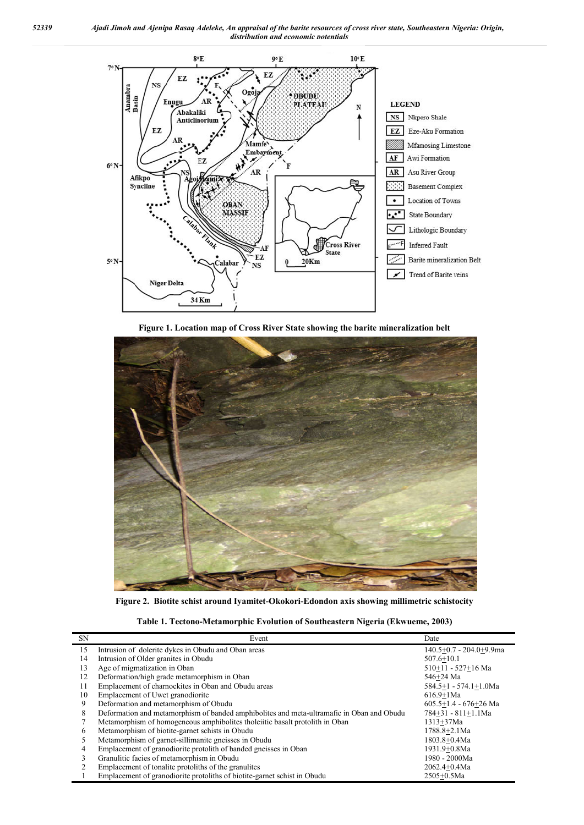

**Figure 1. Location map of Cross River State showing the barite mineralization belt**



**Figure 2. Biotite schist around Iyamitet-Okokori-Edondon axis showing millimetric schistocity**

| Table 1. Tectono-Metamorphic Evolution of Southeastern Nigeria (Ekwueme, 2003) |
|--------------------------------------------------------------------------------|
|--------------------------------------------------------------------------------|

| <b>SN</b> | Event                                                                                     | Date                        |
|-----------|-------------------------------------------------------------------------------------------|-----------------------------|
| 15        | Intrusion of dolerite dykes in Obudu and Oban areas                                       | $140.5+0.7 - 204.0+9.9ma$   |
| 14        | Intrusion of Older granites in Obudu                                                      | $507.6 + 10.1$              |
| 13        | Age of migmatization in Oban                                                              | 510+11 - 527+16 Ma          |
| 12        | Deformation/high grade metamorphism in Oban                                               | 546+24 Ma                   |
| 11        | Emplacement of charnockites in Oban and Obudu areas                                       | $584.5+1 - 574.1+1.0Ma$     |
| 10        | Emplacement of Uwet granodiorite                                                          | $616.9 + 1Ma$               |
| 9         | Deformation and metamorphism of Obudu                                                     | $605.5 + 1.4 - 676 + 26$ Ma |
| 8         | Deformation and metamorphism of banded amphibolites and meta-ultramafic in Oban and Obudu | 784+31 - 811+1.1Ma          |
|           | Metamorphism of homogeneous amphibolities tholeratic basalt protolith in Oban             | $1313 + 37Ma$               |
| 6         | Metamorphism of biotite-garnet schists in Obudu                                           | 1788.8+2.1Ma                |
|           | Metamorphism of garnet-sillimanite gneisses in Obudu                                      | $1803.8 + 0.4$ Ma           |
|           | Emplacement of granodiorite protolith of banded gneisses in Oban                          | 1931.9+0.8Ma                |
|           | Granulitic facies of metamorphism in Obudu                                                | 1980 - 2000Ma               |
|           | Emplacement of tonalite protoliths of the granulities                                     | $2062.4 + 0.4$ Ma           |
|           | Emplacement of granodiorite protoliths of biotite-garnet schist in Obudu                  | $2505+0.5$ Ma               |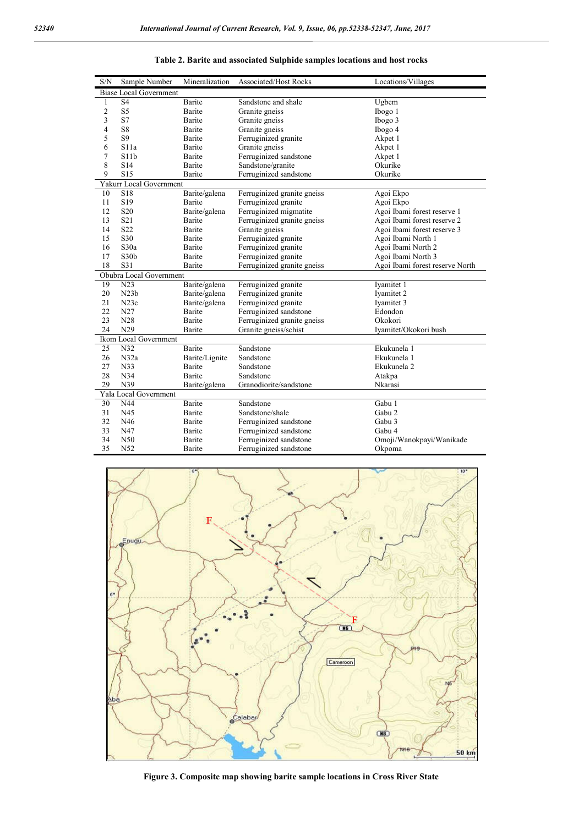| S/N            | Sample Number                 | Mineralization | Associated/Host Rocks       | Locations/Villages              |
|----------------|-------------------------------|----------------|-----------------------------|---------------------------------|
|                | <b>Biase Local Government</b> |                |                             |                                 |
| 1              | S <sub>4</sub>                | Barite         | Sandstone and shale         | Ugbem                           |
| $\overline{c}$ | S <sub>5</sub>                | Barite         | Granite gneiss              | Ibogo 1                         |
| 3              | S7                            | Barite         | Granite gneiss              | Ibogo 3                         |
| 4              | S <sub>8</sub>                | Barite         | Granite gneiss              | Ibogo 4                         |
| 5              | S <sub>9</sub>                | Barite         | Ferruginized granite        | Akpet 1                         |
| 6              | S11a                          | Barite         | Granite gneiss              | Akpet 1                         |
| 7              | S11b                          | Barite         | Ferruginized sandstone      | Akpet 1                         |
| 8              | S14                           | Barite         | Sandstone/granite           | Okurike                         |
| 9              | S <sub>15</sub>               | Barite         | Ferruginized sandstone      | Okurike                         |
|                | Yakurr Local Government       |                |                             |                                 |
| 10             | <b>S18</b>                    | Barite/galena  | Ferruginized granite gneiss | Agoi Ekpo                       |
| 11             | S <sub>19</sub>               | Barite         | Ferruginized granite        | Agoi Ekpo                       |
| 12             | S <sub>20</sub>               | Barite/galena  | Ferruginized migmatite      | Agoi Ibami forest reserve 1     |
| 13             | S <sub>21</sub>               | Barite         | Ferruginized granite gneiss | Agoi Ibami forest reserve 2     |
| 14             | S <sub>22</sub>               | Barite         | Granite gneiss              | Agoi Ibami forest reserve 3     |
| 15             | S30                           | Barite         | Ferruginized granite        | Agoi Ibami North 1              |
| 16             | S30a                          | Barite         | Ferruginized granite        | Agoi Ibami North 2              |
| 17             | S30 <sub>b</sub>              | Barite         | Ferruginized granite        | Agoi Ibami North 3              |
| 18             | S31                           | Barite         | Ferruginized granite gneiss | Agoi Ibami forest reserve North |
|                | Obubra Local Government       |                |                             |                                 |
| 19             | N23                           | Barite/galena  | Ferruginized granite        | Iyamitet 1                      |
| 20             | N23b                          | Barite/galena  | Ferruginized granite        | Iyamitet 2                      |
| 21             | N23c                          | Barite/galena  | Ferruginized granite        | Ivamitet 3                      |
| 22             | N27                           | Barite         | Ferruginized sandstone      | Edondon                         |
| 23             | N28                           | Barite         | Ferruginized granite gneiss | Okokori                         |
| 24             | N29                           | Barite         | Granite gneiss/schist       | Iyamitet/Okokori bush           |
|                | Ikom Local Government         |                |                             |                                 |
| 25             | N32                           | Barite         | Sandstone                   | Ekukunela 1                     |
| 26             | N32a                          | Barite/Lignite | Sandstone                   | Ekukunela 1                     |
| 27             | N33                           | <b>Barite</b>  | Sandstone                   | Ekukunela 2                     |
| 28             | N34                           | Barite         | Sandstone                   | Atakpa                          |
| 29             | N39                           | Barite/galena  | Granodiorite/sandstone      | Nkarasi                         |
|                | Yala Local Government         |                |                             |                                 |
| 30             | N44                           | <b>Barite</b>  | Sandstone                   | $\overline{\text{Gabu}}$ 1      |
| 31             | N45                           | Barite         | Sandstone/shale             | Gabu 2                          |
| 32             | N46                           | Barite         | Ferruginized sandstone      | Gabu 3                          |
| 33             | N47                           | Barite         | Ferruginized sandstone      | Gabu 4                          |
| 34             | N50                           | Barite         | Ferruginized sandstone      | Omoji/Wanokpayi/Wanikade        |
| 35             | N52                           | Barite         | Ferruginized sandstone      | Okpoma                          |

**Table 2. Barite and associated Sulphide samples locations and host rocks**



**Figure 3. Composite map showing barite sample locations in Cross River State**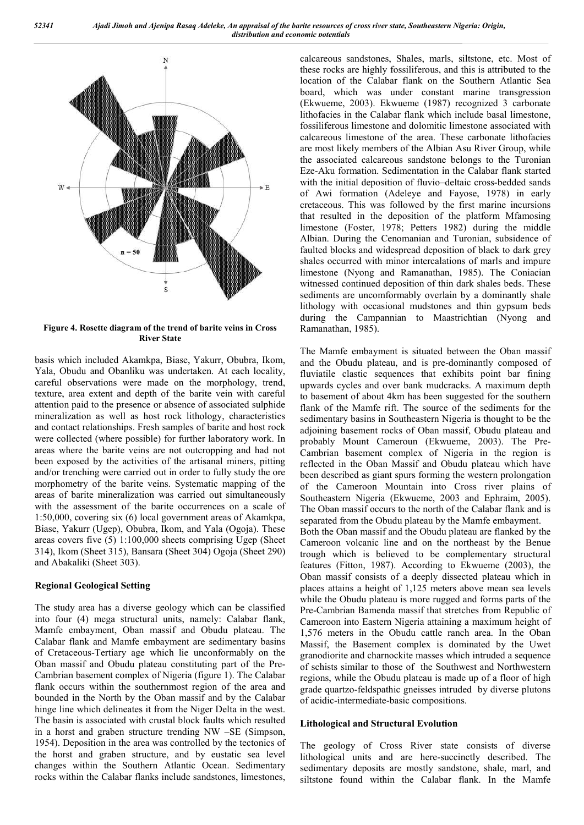

**Figure 4. Rosette diagram of the trend of barite veins in Cross River State**

basis which included Akamkpa, Biase, Yakurr, Obubra, Ikom, Yala, Obudu and Obanliku was undertaken. At each locality, careful observations were made on the morphology, trend, texture, area extent and depth of the barite vein with careful attention paid to the presence or absence of associated sulphide mineralization as well as host rock lithology, characteristics and contact relationships. Fresh samples of barite and host rock were collected (where possible) for further laboratory work. In areas where the barite veins are not outcropping and had not been exposed by the activities of the artisanal miners, pitting and/or trenching were carried out in order to fully study the ore morphometry of the barite veins. Systematic mapping of the areas of barite mineralization was carried out simultaneously with the assessment of the barite occurrences on a scale of 1:50,000, covering six (6) local government areas of Akamkpa, Biase, Yakurr (Ugep), Obubra, Ikom, and Yala (Ogoja). These areas covers five (5) 1:100,000 sheets comprising Ugep (Sheet 314), Ikom (Sheet 315), Bansara (Sheet 304) Ogoja (Sheet 290) and Abakaliki (Sheet 303).

# **Regional Geological Setting**

The study area has a diverse geology which can be classified into four (4) mega structural units, namely: Calabar flank, Mamfe embayment, Oban massif and Obudu plateau. The Calabar flank and Mamfe embayment are sedimentary basins of Cretaceous-Tertiary age which lie unconformably on the Oban massif and Obudu plateau constituting part of the Pre-Cambrian basement complex of Nigeria (figure 1). The Calabar flank occurs within the southernmost region of the area and bounded in the North by the Oban massif and by the Calabar hinge line which delineates it from the Niger Delta in the west. The basin is associated with crustal block faults which resulted in a horst and graben structure trending NW –SE (Simpson, 1954). Deposition in the area was controlled by the tectonics of the horst and graben structure, and by eustatic sea level changes within the Southern Atlantic Ocean. Sedimentary rocks within the Calabar flanks include sandstones, limestones,

calcareous sandstones, Shales, marls, siltstone, etc. Most of these rocks are highly fossiliferous, and this is attributed to the location of the Calabar flank on the Southern Atlantic Sea board, which was under constant marine transgression (Ekwueme, 2003). Ekwueme (1987) recognized 3 carbonate lithofacies in the Calabar flank which include basal limestone, fossiliferous limestone and dolomitic limestone associated with calcareous limestone of the area. These carbonate lithofacies are most likely members of the Albian Asu River Group, while the associated calcareous sandstone belongs to the Turonian Eze-Aku formation. Sedimentation in the Calabar flank started with the initial deposition of fluvio–deltaic cross-bedded sands of Awi formation (Adeleye and Fayose, 1978) in early cretaceous. This was followed by the first marine incursions that resulted in the deposition of the platform Mfamosing limestone (Foster, 1978; Petters 1982) during the middle Albian. During the Cenomanian and Turonian, subsidence of faulted blocks and widespread deposition of black to dark grey shales occurred with minor intercalations of marls and impure limestone (Nyong and Ramanathan, 1985). The Coniacian witnessed continued deposition of thin dark shales beds. These sediments are uncomformably overlain by a dominantly shale lithology with occasional mudstones and thin gypsum beds during the Campannian to Maastrichtian (Nyong and Ramanathan, 1985).

The Mamfe embayment is situated between the Oban massif and the Obudu plateau, and is pre-dominantly composed of fluviatile clastic sequences that exhibits point bar fining upwards cycles and over bank mudcracks. A maximum depth to basement of about 4km has been suggested for the southern flank of the Mamfe rift. The source of the sediments for the sedimentary basins in Southeastern Nigeria is thought to be the adjoining basement rocks of Oban massif, Obudu plateau and probably Mount Cameroun (Ekwueme, 2003). The Pre-Cambrian basement complex of Nigeria in the region is reflected in the Oban Massif and Obudu plateau which have been described as giant spurs forming the western prolongation of the Cameroon Mountain into Cross river plains of Southeastern Nigeria (Ekwueme, 2003 and Ephraim, 2005). The Oban massif occurs to the north of the Calabar flank and is separated from the Obudu plateau by the Mamfe embayment. Both the Oban massif and the Obudu plateau are flanked by the Cameroon volcanic line and on the northeast by the Benue trough which is believed to be complementary structural features (Fitton, 1987). According to Ekwueme (2003), the Oban massif consists of a deeply dissected plateau which in places attains a height of 1,125 meters above mean sea levels while the Obudu plateau is more rugged and forms parts of the Pre-Cambrian Bamenda massif that stretches from Republic of Cameroon into Eastern Nigeria attaining a maximum height of 1,576 meters in the Obudu cattle ranch area. In the Oban Massif, the Basement complex is dominated by the Uwet granodiorite and charnockite masses which intruded a sequence of schists similar to those of the Southwest and Northwestern regions, while the Obudu plateau is made up of a floor of high grade quartzo-feldspathic gneisses intruded by diverse plutons of acidic-intermediate-basic compositions.

#### **Lithological and Structural Evolution**

The geology of Cross River state consists of diverse lithological units and are here-succinctly described. The sedimentary deposits are mostly sandstone, shale, marl, and siltstone found within the Calabar flank. In the Mamfe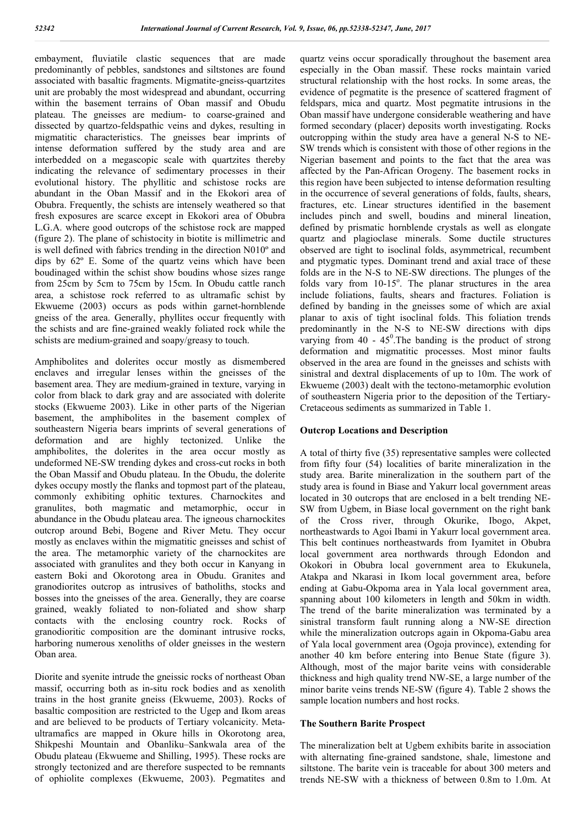embayment, fluviatile clastic sequences that are made predominantly of pebbles, sandstones and siltstones are found associated with basaltic fragments. Migmatite-gneiss-quartzites unit are probably the most widespread and abundant, occurring within the basement terrains of Oban massif and Obudu plateau. The gneisses are medium- to coarse-grained and dissected by quartzo-feldspathic veins and dykes, resulting in migmatitic characteristics. The gneisses bear imprints of intense deformation suffered by the study area and are interbedded on a megascopic scale with quartzites thereby indicating the relevance of sedimentary processes in their evolutional history. The phyllitic and schistose rocks are abundant in the Oban Massif and in the Ekokori area of Obubra. Frequently, the schists are intensely weathered so that fresh exposures are scarce except in Ekokori area of Obubra L.G.A. where good outcrops of the schistose rock are mapped (figure 2). The plane of schistocity in biotite is millimetric and is well defined with fabrics trending in the direction N010º and dips by 62º E. Some of the quartz veins which have been boudinaged within the schist show boudins whose sizes range from 25cm by 5cm to 75cm by 15cm. In Obudu cattle ranch area, a schistose rock referred to as ultramafic schist by Ekwueme (2003) occurs as pods within garnet-hornblende gneiss of the area. Generally, phyllites occur frequently with the schists and are fine-grained weakly foliated rock while the schists are medium-grained and soapy/greasy to touch.

Amphibolites and dolerites occur mostly as dismembered enclaves and irregular lenses within the gneisses of the basement area. They are medium-grained in texture, varying in color from black to dark gray and are associated with dolerite stocks (Ekwueme 2003). Like in other parts of the Nigerian basement, the amphibolites in the basement complex of southeastern Nigeria bears imprints of several generations of deformation and are highly tectonized. Unlike the amphibolites, the dolerites in the area occur mostly as undeformed NE-SW trending dykes and cross-cut rocks in both the Oban Massif and Obudu plateau. In the Obudu, the dolerite dykes occupy mostly the flanks and topmost part of the plateau, commonly exhibiting ophitic textures. Charnockites and granulites, both magmatic and metamorphic, occur in abundance in the Obudu plateau area. The igneous charnockites outcrop around Bebi, Bogene and River Metu. They occur mostly as enclaves within the migmatitic gneisses and schist of the area. The metamorphic variety of the charnockites are associated with granulites and they both occur in Kanyang in eastern Boki and Okorotong area in Obudu. Granites and granodiorites outcrop as intrusives of batholiths, stocks and bosses into the gneisses of the area. Generally, they are coarse grained, weakly foliated to non-foliated and show sharp contacts with the enclosing country rock. Rocks of granodioritic composition are the dominant intrusive rocks, harboring numerous xenoliths of older gneisses in the western Oban area.

Diorite and syenite intrude the gneissic rocks of northeast Oban massif, occurring both as in-situ rock bodies and as xenolith trains in the host granite gneiss (Ekwueme, 2003). Rocks of basaltic composition are restricted to the Ugep and Ikom areas and are believed to be products of Tertiary volcanicity. Metaultramafics are mapped in Okure hills in Okorotong area, Shikpeshi Mountain and Obanliku–Sankwala area of the Obudu plateau (Ekwueme and Shilling, 1995). These rocks are strongly tectonized and are therefore suspected to be remnants of ophiolite complexes (Ekwueme, 2003). Pegmatites and

quartz veins occur sporadically throughout the basement area especially in the Oban massif. These rocks maintain varied structural relationship with the host rocks. In some areas, the evidence of pegmatite is the presence of scattered fragment of feldspars, mica and quartz. Most pegmatite intrusions in the Oban massif have undergone considerable weathering and have formed secondary (placer) deposits worth investigating. Rocks outcropping within the study area have a general N-S to NE-SW trends which is consistent with those of other regions in the Nigerian basement and points to the fact that the area was affected by the Pan-African Orogeny. The basement rocks in this region have been subjected to intense deformation resulting in the occurrence of several generations of folds, faults, shears, fractures, etc. Linear structures identified in the basement includes pinch and swell, boudins and mineral lineation, defined by prismatic hornblende crystals as well as elongate quartz and plagioclase minerals. Some ductile structures observed are tight to isoclinal folds, asymmetrical, recumbent and ptygmatic types. Dominant trend and axial trace of these folds are in the N-S to NE-SW directions. The plunges of the folds vary from  $10-15^\circ$ . The planar structures in the area include foliations, faults, shears and fractures. Foliation is defined by banding in the gneisses some of which are axial planar to axis of tight isoclinal folds. This foliation trends predominantly in the N-S to NE-SW directions with dips varying from  $40 - 45^\circ$ . The banding is the product of strong deformation and migmatitic processes. Most minor faults observed in the area are found in the gneisses and schists with sinistral and dextral displacements of up to 10m. The work of Ekwueme (2003) dealt with the tectono-metamorphic evolution of southeastern Nigeria prior to the deposition of the Tertiary-Cretaceous sediments as summarized in Table 1.

# **Outcrop Locations and Description**

A total of thirty five (35) representative samples were collected from fifty four (54) localities of barite mineralization in the study area. Barite mineralization in the southern part of the study area is found in Biase and Yakurr local government areas located in 30 outcrops that are enclosed in a belt trending NE-SW from Ugbem, in Biase local government on the right bank of the Cross river, through Okurike, Ibogo, Akpet, northeastwards to Agoi Ibami in Yakurr local government area. This belt continues northeastwards from Iyamitet in Obubra local government area northwards through Edondon and Okokori in Obubra local government area to Ekukunela, Atakpa and Nkarasi in Ikom local government area, before ending at Gabu-Okpoma area in Yala local government area, spanning about 100 kilometers in length and 50km in width. The trend of the barite mineralization was terminated by a sinistral transform fault running along a NW-SE direction while the mineralization outcrops again in Okpoma-Gabu area of Yala local government area (Ogoja province), extending for another 40 km before entering into Benue State (figure 3). Although, most of the major barite veins with considerable thickness and high quality trend NW-SE, a large number of the minor barite veins trends NE-SW (figure 4). Table 2 shows the sample location numbers and host rocks.

#### **The Southern Barite Prospect**

The mineralization belt at Ugbem exhibits barite in association with alternating fine-grained sandstone, shale, limestone and siltstone. The barite vein is traceable for about 300 meters and trends NE-SW with a thickness of between 0.8m to 1.0m. At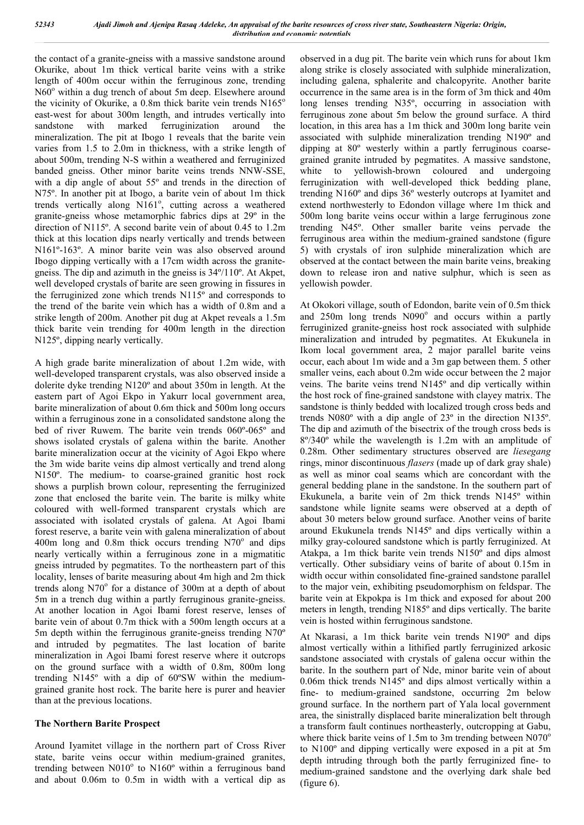the contact of a granite-gneiss with a massive sandstone around Okurike, about 1m thick vertical barite veins with a strike length of 400m occur within the ferruginous zone, trending  $N60^{\circ}$  within a dug trench of about 5m deep. Elsewhere around the vicinity of Okurike, a  $0.8m$  thick barite vein trends  $N165^\circ$ east-west for about 300m length, and intrudes vertically into sandstone with marked ferruginization around the mineralization. The pit at Ibogo 1 reveals that the barite vein varies from 1.5 to 2.0m in thickness, with a strike length of about 500m, trending N-S within a weathered and ferruginized banded gneiss. Other minor barite veins trends NNW-SSE, with a dip angle of about 55º and trends in the direction of N75º. In another pit at Ibogo, a barite vein of about 1m thick trends vertically along N161°, cutting across a weathered granite-gneiss whose metamorphic fabrics dips at 29º in the direction of N115º. A second barite vein of about 0.45 to 1.2m thick at this location dips nearly vertically and trends between N161º-163º. A minor barite vein was also observed around Ibogo dipping vertically with a 17cm width across the granitegneiss. The dip and azimuth in the gneiss is 34º/110º. At Akpet, well developed crystals of barite are seen growing in fissures in the ferruginized zone which trends N115º and corresponds to the trend of the barite vein which has a width of 0.8m and a strike length of 200m. Another pit dug at Akpet reveals a 1.5m thick barite vein trending for 400m length in the direction N125º, dipping nearly vertically.

A high grade barite mineralization of about 1.2m wide, with well-developed transparent crystals, was also observed inside a dolerite dyke trending N120º and about 350m in length. At the eastern part of Agoi Ekpo in Yakurr local government area, barite mineralization of about 0.6m thick and 500m long occurs within a ferruginous zone in a consolidated sandstone along the bed of river Ruwem. The barite vein trends 060º-065º and shows isolated crystals of galena within the barite. Another barite mineralization occur at the vicinity of Agoi Ekpo where the 3m wide barite veins dip almost vertically and trend along N150º. The medium- to coarse-grained granitic host rock shows a purplish brown colour, representing the ferruginized zone that enclosed the barite vein. The barite is milky white coloured with well-formed transparent crystals which are associated with isolated crystals of galena. At Agoi Ibami forest reserve, a barite vein with galena mineralization of about 400m long and 0.8m thick occurs trending  $N70^\circ$  and dips nearly vertically within a ferruginous zone in a migmatitic gneiss intruded by pegmatites. To the northeastern part of this locality, lenses of barite measuring about 4m high and 2m thick trends along  $N70^{\circ}$  for a distance of 300m at a depth of about 5m in a trench dug within a partly ferruginous granite-gneiss. At another location in Agoi Ibami forest reserve, lenses of barite vein of about 0.7m thick with a 500m length occurs at a 5m depth within the ferruginous granite-gneiss trending N70º and intruded by pegmatites. The last location of barite mineralization in Agoi Ibami forest reserve where it outcrops on the ground surface with a width of 0.8m, 800m long trending N145º with a dip of 60ºSW within the mediumgrained granite host rock. The barite here is purer and heavier than at the previous locations.

# **The Northern Barite Prospect**

Around Iyamitet village in the northern part of Cross River state, barite veins occur within medium-grained granites, trending between  $N010^{\circ}$  to  $N160^{\circ}$  within a ferruginous band and about 0.06m to 0.5m in width with a vertical dip as observed in a dug pit. The barite vein which runs for about 1km along strike is closely associated with sulphide mineralization, including galena, sphalerite and chalcopyrite. Another barite occurrence in the same area is in the form of 3m thick and 40m long lenses trending N35º, occurring in association with ferruginous zone about 5m below the ground surface. A third location, in this area has a 1m thick and 300m long barite vein associated with sulphide mineralization trending N190º and dipping at 80º westerly within a partly ferruginous coarsegrained granite intruded by pegmatites. A massive sandstone, white to yellowish-brown coloured and undergoing ferruginization with well-developed thick bedding plane, trending N160º and dips 36º westerly outcrops at Iyamitet and extend northwesterly to Edondon village where 1m thick and 500m long barite veins occur within a large ferruginous zone trending N45º. Other smaller barite veins pervade the ferruginous area within the medium-grained sandstone (figure 5) with crystals of iron sulphide mineralization which are observed at the contact between the main barite veins, breaking down to release iron and native sulphur, which is seen as yellowish powder.

At Okokori village, south of Edondon, barite vein of 0.5m thick and  $250m$  long trends  $N090^\circ$  and occurs within a partly ferruginized granite-gneiss host rock associated with sulphide mineralization and intruded by pegmatites. At Ekukunela in Ikom local government area, 2 major parallel barite veins occur, each about 1m wide and a 3m gap between them. 5 other smaller veins, each about 0.2m wide occur between the 2 major veins. The barite veins trend N145º and dip vertically within the host rock of fine-grained sandstone with clayey matrix. The sandstone is thinly bedded with localized trough cross beds and trends N080º with a dip angle of 23º in the direction N135º. The dip and azimuth of the bisectrix of the trough cross beds is 8º/340º while the wavelength is 1.2m with an amplitude of 0.28m. Other sedimentary structures observed are *liesegang* rings, minor discontinuous *flasers* (made up of dark gray shale) as well as minor coal seams which are concordant with the general bedding plane in the sandstone. In the southern part of Ekukunela, a barite vein of 2m thick trends N145º within sandstone while lignite seams were observed at a depth of about 30 meters below ground surface. Another veins of barite around Ekukunela trends N145º and dips vertically within a milky gray-coloured sandstone which is partly ferruginized. At Atakpa, a 1m thick barite vein trends N150º and dips almost vertically. Other subsidiary veins of barite of about 0.15m in width occur within consolidated fine-grained sandstone parallel to the major vein, exhibiting pseudomorphism on feldspar. The barite vein at Ekpokpa is 1m thick and exposed for about 200 meters in length, trending N185º and dips vertically. The barite vein is hosted within ferruginous sandstone.

At Nkarasi, a 1m thick barite vein trends N190º and dips almost vertically within a lithified partly ferruginized arkosic sandstone associated with crystals of galena occur within the barite. In the southern part of Nde, minor barite vein of about 0.06m thick trends N145º and dips almost vertically within a fine- to medium-grained sandstone, occurring 2m below ground surface. In the northern part of Yala local government area, the sinistrally displaced barite mineralization belt through a transform fault continues northeasterly, outcropping at Gabu, where thick barite veins of 1.5m to 3m trending between  $N070^\circ$ to N100º and dipping vertically were exposed in a pit at 5m depth intruding through both the partly ferruginized fine- to medium-grained sandstone and the overlying dark shale bed (figure 6).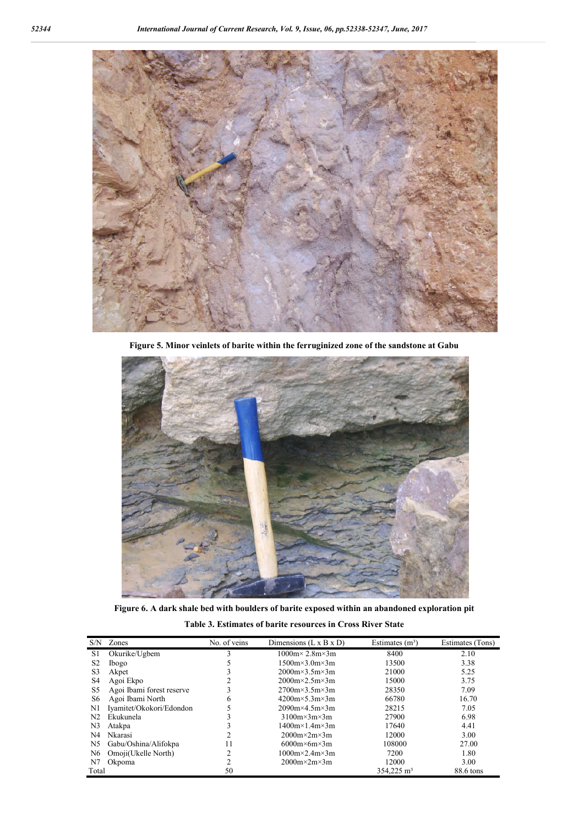

**Figure 5. Minor veinlets of barite within the ferruginized zone of the sandstone at Gabu**



**Figure 6. A dark shale bed with boulders of barite exposed within an abandoned exploration pit**

| Table 3. Estimates of barite resources in Cross River State |  |  |  |
|-------------------------------------------------------------|--|--|--|
|-------------------------------------------------------------|--|--|--|

| S/N            | Zones                     | No. of veins | Dimensions $(L \times B \times D)$ | Estimates $(m^3)$      | Estimates (Tons) |
|----------------|---------------------------|--------------|------------------------------------|------------------------|------------------|
| S1             | Okurike/Ugbem             |              | $1000m \times 2.8m \times 3m$      | 8400                   | 2.10             |
| S <sub>2</sub> | Ibogo                     |              | $1500m \times 3.0m \times 3m$      | 13500                  | 3.38             |
| S <sub>3</sub> | Akpet                     |              | $2000m \times 3.5m \times 3m$      | 21000                  | 5.25             |
| S <sub>4</sub> | Agoi Ekpo                 |              | $2000m \times 2.5m \times 3m$      | 15000                  | 3.75             |
| S5             | Agoi Ibami forest reserve |              | $2700m \times 3.5m \times 3m$      | 28350                  | 7.09             |
| S6             | Agoi Ibami North          | 6            | $4200m \times 5.3m \times 3m$      | 66780                  | 16.70            |
| $\mathbf{N}$   | Iyamitet/Okokori/Edondon  |              | $2090m \times 4.5m \times 3m$      | 28215                  | 7.05             |
| N <sub>2</sub> | Ekukunela                 |              | $3100m \times 3m \times 3m$        | 27900                  | 6.98             |
| N <sub>3</sub> | Atakpa                    |              | $1400m \times 1.4m \times 3m$      | 17640                  | 4.41             |
| N <sub>4</sub> | Nkarasi                   | າ            | $2000m \times 2m \times 3m$        | 12000                  | 3.00             |
| N <sub>5</sub> | Gabu/Oshina/Alifokpa      | 11           | $6000m \times 6m \times 3m$        | 108000                 | 27.00            |
| N <sub>6</sub> | Omoji(Ukelle North)       | ጎ            | $1000m \times 2.4m \times 3m$      | 7200                   | 1.80             |
| N7             | Okpoma                    | ↑            | $2000m \times 2m \times 3m$        | 12000                  | 3.00             |
| Total          |                           | 50           |                                    | 354,225 m <sup>3</sup> | 88.6 tons        |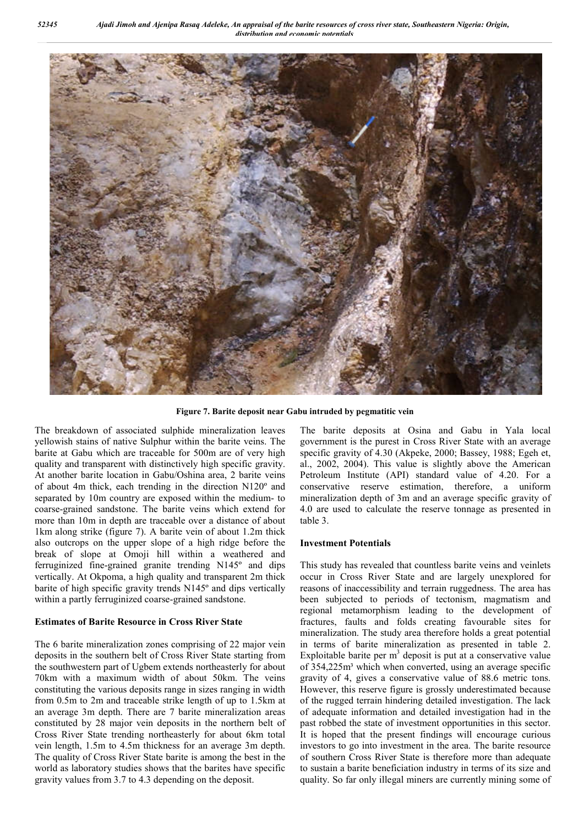

**Figure 7. Barite deposit near Gabu intruded by pegmatitic vein**

The breakdown of associated sulphide mineralization leaves yellowish stains of native Sulphur within the barite veins. The barite at Gabu which are traceable for 500m are of very high quality and transparent with distinctively high specific gravity. At another barite location in Gabu/Oshina area, 2 barite veins of about 4m thick, each trending in the direction N120º and separated by 10m country are exposed within the medium- to coarse-grained sandstone. The barite veins which extend for more than 10m in depth are traceable over a distance of about 1km along strike (figure 7). A barite vein of about 1.2m thick also outcrops on the upper slope of a high ridge before the break of slope at Omoji hill within a weathered and ferruginized fine-grained granite trending N145º and dips vertically. At Okpoma, a high quality and transparent 2m thick barite of high specific gravity trends N145º and dips vertically within a partly ferruginized coarse-grained sandstone.

#### **Estimates of Barite Resource in Cross River State**

The 6 barite mineralization zones comprising of 22 major vein deposits in the southern belt of Cross River State starting from the southwestern part of Ugbem extends northeasterly for about 70km with a maximum width of about 50km. The veins constituting the various deposits range in sizes ranging in width from 0.5m to 2m and traceable strike length of up to 1.5km at an average 3m depth. There are 7 barite mineralization areas constituted by 28 major vein deposits in the northern belt of Cross River State trending northeasterly for about 6km total vein length, 1.5m to 4.5m thickness for an average 3m depth. The quality of Cross River State barite is among the best in the world as laboratory studies shows that the barites have specific gravity values from 3.7 to 4.3 depending on the deposit.

The barite deposits at Osina and Gabu in Yala local government is the purest in Cross River State with an average specific gravity of 4.30 (Akpeke, 2000; Bassey, 1988; Egeh et, al., 2002, 2004). This value is slightly above the American Petroleum Institute (API) standard value of 4.20. For a conservative reserve estimation, therefore, a uniform mineralization depth of 3m and an average specific gravity of 4.0 are used to calculate the reserve tonnage as presented in table 3.

#### **Investment Potentials**

This study has revealed that countless barite veins and veinlets occur in Cross River State and are largely unexplored for reasons of inaccessibility and terrain ruggedness. The area has been subjected to periods of tectonism, magmatism and regional metamorphism leading to the development of fractures, faults and folds creating favourable sites for mineralization. The study area therefore holds a great potential in terms of barite mineralization as presented in table 2. Exploitable barite per  $m<sup>3</sup>$  deposit is put at a conservative value of 354,225m<sup>3</sup> which when converted, using an average specific gravity of 4, gives a conservative value of 88.6 metric tons. However, this reserve figure is grossly underestimated because of the rugged terrain hindering detailed investigation. The lack of adequate information and detailed investigation had in the past robbed the state of investment opportunities in this sector. It is hoped that the present findings will encourage curious investors to go into investment in the area. The barite resource of southern Cross River State is therefore more than adequate to sustain a barite beneficiation industry in terms of its size and quality. So far only illegal miners are currently mining some of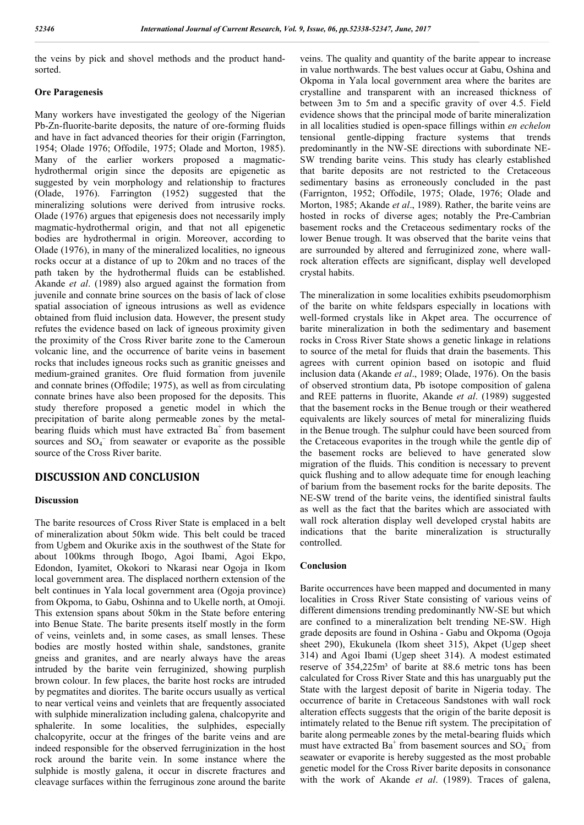the veins by pick and shovel methods and the product handsorted.

## **Ore Paragenesis**

Many workers have investigated the geology of the Nigerian Pb-Zn-fluorite-barite deposits, the nature of ore-forming fluids and have in fact advanced theories for their origin (Farrington, 1954; Olade 1976; Offodile, 1975; Olade and Morton, 1985). Many of the earlier workers proposed a magmatichydrothermal origin since the deposits are epigenetic as suggested by vein morphology and relationship to fractures (Olade, 1976). Farrington (1952) suggested that the mineralizing solutions were derived from intrusive rocks. Olade (1976) argues that epigenesis does not necessarily imply magmatic-hydrothermal origin, and that not all epigenetic bodies are hydrothermal in origin. Moreover, according to Olade (1976), in many of the mineralized localities, no igneous rocks occur at a distance of up to 20km and no traces of the path taken by the hydrothermal fluids can be established. Akande *et al*. (1989) also argued against the formation from juvenile and connate brine sources on the basis of lack of close spatial association of igneous intrusions as well as evidence obtained from fluid inclusion data. However, the present study refutes the evidence based on lack of igneous proximity given the proximity of the Cross River barite zone to the Cameroun volcanic line, and the occurrence of barite veins in basement rocks that includes igneous rocks such as granitic gneisses and medium-grained granites. Ore fluid formation from juvenile and connate brines (Offodile; 1975), as well as from circulating connate brines have also been proposed for the deposits. This study therefore proposed a genetic model in which the precipitation of barite along permeable zones by the metalbearing fluids which must have extracted  $Ba<sup>+</sup>$  from basement sources and  $SO_4^-$  from seawater or evaporite as the possible source of the Cross River barite.

# **DISCUSSION AND CONCLUSION**

#### **Discussion**

The barite resources of Cross River State is emplaced in a belt of mineralization about 50km wide. This belt could be traced from Ugbem and Okurike axis in the southwest of the State for about 100kms through Ibogo, Agoi Ibami, Agoi Ekpo, Edondon, Iyamitet, Okokori to Nkarasi near Ogoja in Ikom local government area. The displaced northern extension of the belt continues in Yala local government area (Ogoja province) from Okpoma, to Gabu, Oshinna and to Ukelle north, at Omoji. This extension spans about 50km in the State before entering into Benue State. The barite presents itself mostly in the form of veins, veinlets and, in some cases, as small lenses. These bodies are mostly hosted within shale, sandstones, granite gneiss and granites, and are nearly always have the areas intruded by the barite vein ferruginized, showing purplish brown colour. In few places, the barite host rocks are intruded by pegmatites and diorites. The barite occurs usually as vertical to near vertical veins and veinlets that are frequently associated with sulphide mineralization including galena, chalcopyrite and sphalerite. In some localities, the sulphides, especially chalcopyrite, occur at the fringes of the barite veins and are indeed responsible for the observed ferruginization in the host rock around the barite vein. In some instance where the sulphide is mostly galena, it occur in discrete fractures and cleavage surfaces within the ferruginous zone around the barite

veins. The quality and quantity of the barite appear to increase in value northwards. The best values occur at Gabu, Oshina and Okpoma in Yala local government area where the barites are crystalline and transparent with an increased thickness of between 3m to 5m and a specific gravity of over 4.5. Field evidence shows that the principal mode of barite mineralization in all localities studied is open-space fillings within *en echelon* tensional gentle-dipping fracture systems that trends predominantly in the NW-SE directions with subordinate NE-SW trending barite veins. This study has clearly established that barite deposits are not restricted to the Cretaceous sedimentary basins as erroneously concluded in the past (Farrignton, 1952; Offodile, 1975; Olade, 1976; Olade and Morton, 1985; Akande *et al*., 1989). Rather, the barite veins are hosted in rocks of diverse ages; notably the Pre-Cambrian basement rocks and the Cretaceous sedimentary rocks of the lower Benue trough. It was observed that the barite veins that are surrounded by altered and ferruginized zone, where wallrock alteration effects are significant, display well developed crystal habits.

The mineralization in some localities exhibits pseudomorphism of the barite on white feldspars especially in locations with well-formed crystals like in Akpet area. The occurrence of barite mineralization in both the sedimentary and basement rocks in Cross River State shows a genetic linkage in relations to source of the metal for fluids that drain the basements. This agrees with current opinion based on isotopic and fluid inclusion data (Akande *et al*., 1989; Olade, 1976). On the basis of observed strontium data, Pb isotope composition of galena and REE patterns in fluorite, Akande *et al*. (1989) suggested that the basement rocks in the Benue trough or their weathered equivalents are likely sources of metal for mineralizing fluids in the Benue trough. The sulphur could have been sourced from the Cretaceous evaporites in the trough while the gentle dip of the basement rocks are believed to have generated slow migration of the fluids. This condition is necessary to prevent quick flushing and to allow adequate time for enough leaching of barium from the basement rocks for the barite deposits. The NE-SW trend of the barite veins, the identified sinistral faults as well as the fact that the barites which are associated with wall rock alteration display well developed crystal habits are indications that the barite mineralization is structurally controlled.

### **Conclusion**

Barite occurrences have been mapped and documented in many localities in Cross River State consisting of various veins of different dimensions trending predominantly NW-SE but which are confined to a mineralization belt trending NE-SW. High grade deposits are found in Oshina - Gabu and Okpoma (Ogoja sheet 290), Ekukunela (Ikom sheet 315), Akpet (Ugep sheet 314) and Agoi Ibami (Ugep sheet 314). A modest estimated reserve of 354,225m<sup>3</sup> of barite at 88.6 metric tons has been calculated for Cross River State and this has unarguably put the State with the largest deposit of barite in Nigeria today. The occurrence of barite in Cretaceous Sandstones with wall rock alteration effects suggests that the origin of the barite deposit is intimately related to the Benue rift system. The precipitation of barite along permeable zones by the metal-bearing fluids which must have extracted  $Ba^+$  from basement sources and  $SO_4^-$  from seawater or evaporite is hereby suggested as the most probable genetic model for the Cross River barite deposits in consonance with the work of Akande *et al*. (1989). Traces of galena,